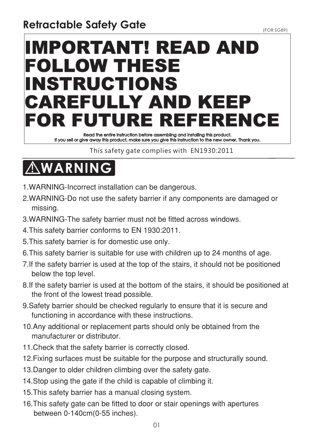# IMPORTANT! READ AND FOLLOW THESE INSTRUCTIONS CAREFULLY AND KEEI FOR FUTURE REFERENCE

Read the entire Instruction before assembling and installing this product. If you sell or give away this product, make sure you give this Instruction to the new owner. Thank you.

This care, gate complies with EN1930111111

## **! WARNING**

- 1. WARNING-Incorrect installation can be dangerous.
- 2.WARNING-Do not use the safety barrier if any components are damaged or missing.
- 3. WARNING-The safety barrier must not be fitted across windows.
- 4. This safety barrier conforms to EN 1930:2011.
- 5. This safety barrier is for domestic use only.
- 6. This safety barrier is suitable for use with children up to 24 months of age.
- 7. If the safety barrier is used at the top of the stairs, it should not be positioned below the top level.
- 8. If the safety barrier is used at the bottom of the stairs, it should be positioned at the front of the lowest tread possible.
- 9. Safety barrier should be checked regularly to ensure that it is secure and functioning in accordance with these instructions.
- 10. Any additional or replacement parts should only be obtained from the manufacturer or distributor.
- 11. Check that the safety barrier is correctly closed.
- 12. Fixing surfaces must be suitable for the purpose and structurally sound.
- 13. Danger to older children climbing over the safety gate.
- 14. Stop using the gate if the child is capable of climbing it.
- 15. This safety barrier has a manual closing system.
- 16. This safety gate can be fitted to door or stair openings with apertures between 0-140cm(0-55 inches).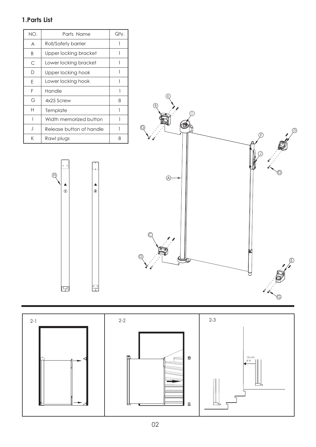#### **1.Parts List**

| NO. | Parts Name               | Qty. |
|-----|--------------------------|------|
| A   | Roll/Safety barrier      |      |
| B   | Upper locking bracket    | 1    |
| C   | Lower locking bracket    | 1    |
| D   | Upper locking hook       |      |
| F   | Lower locking hook       |      |
| F   | Handle                   |      |
| G   | 4x25 Screw               | 8    |
| н   | Template                 |      |
|     | Width memorized button   | 1    |
| J   | Release button of handle |      |
| K   | Rawl plugs               | 8    |

 $\bigoplus$ 

 $\begin{array}{c}\n\blacktriangle \\
\heartsuit\n\end{array}$ 

 $\begin{array}{|c|} \hline \mathbf{P}_{\mathrm{LOOR}} \\ \hline \end{array}$ 

 $\frac{1}{\frac{1}{10}}$ 

 $\begin{array}{|c|c|}\n\hline\n\text{FLOOR}\n\end{array}$ 



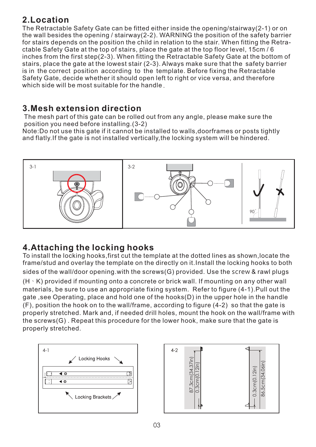#### **2.Location**

The Retractable Safety Gate can be fitted either inside the opening/stairway(2-1) or on the wall besides the opening / stairway(2-2). WARNING the position of the safety barrier for stairs depends on the position the child in relation to the stair. When fitting the Retractable Safety Gate at the top of stairs, place the gate at the top floor level, 15cm / 6 inches from the first step(2-3). When fitting the Retractable Safety Gate at the bottom of stairs, place the gate at the lowest stair (2-3). Always make sure that the safety barrier is in the correct position according to the template. Before fixing the Retractable Safety Gate, decide whether it should open left to right or vice versa, and therefore which side will be most suitable for the handle.

#### **3.Mesh extension direction**

The mesh part of this gate can be rolled out from any angle, please make sure the position you need before installing.(3-2)

Note:Do not use this gate if it cannot be installed to walls,doorframes or posts tightly and flatly.If the gate is not installed vertically,the locking system will be hindered.



### **4.Attaching the locking hooks**

To install the locking hooks,first cut the template at the dotted lines as shown,locate the frame/stud and overlay the template on the directly on it.Install the locking hooks to both sides of the wall/door opening.with the screws(G) provided. Use the screw & rawl plugs (H  $\cdot$  K) provided if mounting onto a concrete or brick wall. If mounting on any other wall materials, be sure to use an appropriate fixing system. Refer to figure (4-1).Pull out the gate ,see Operating, place and hold one of the hooks(D) in the upper hole in the handle (F), position the hook on to the wall/frame, according to figure (4-2) so that the gate is properly stretched. Mark and, if needed drill holes, mount the hook on the wall/frame with the screws(G) . Repeat this procedure for the lower hook, make sure that the gate is properly stretched.



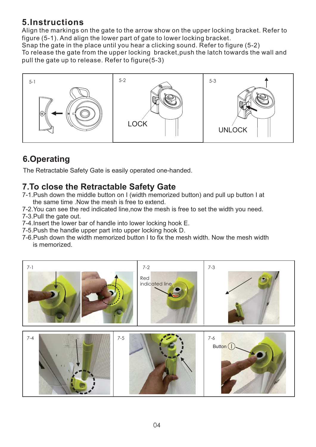#### **5.Instructions**

Align the markings on the gate to the arrow show on the upper locking bracket. Refer to figure (5-1). And align the lower part of gate to lower locking bracket.

Snap the gate in the place until you hear a clicking sound. Refer to figure (5-2) To release the gate from the upper locking bracket,push the latch towards the wall and pull the gate up to release. Refer to figure(5-3)



### **6.Operating**

The Retractable Safety Gate is easily operated one-handed.

#### **7.To close the Retractable Safety Gate**

- 7-1.Push down the middle button on I (width memorized button) and pull up button I at the same time .Now the mesh is free to extend.
- 7-2.You can see the red indicated line,now the mesh is free to set the width you need.
- 7-3.Pull the gate out.
- 7-4.Insert the lower bar of handle into lower locking hook E.
- 7-5.Push the handle upper part into upper locking hook D.
- 7-6.Push down the width memorized button I to fix the mesh width. Now the mesh width is memorized.